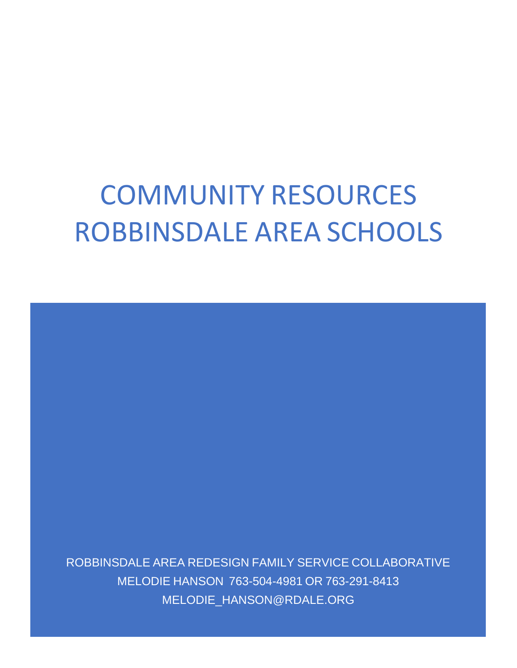# COMMUNITY RESOURCES ROBBINSDALE AREA SCHOOLS

ROBBINSDALE AREA REDESIGN FAMILY SERVICE COLLABORATIVE MELODIE HANSON 763-504-4981 OR 763-291-8413 MELODIE\_HANSON@RDALE.ORG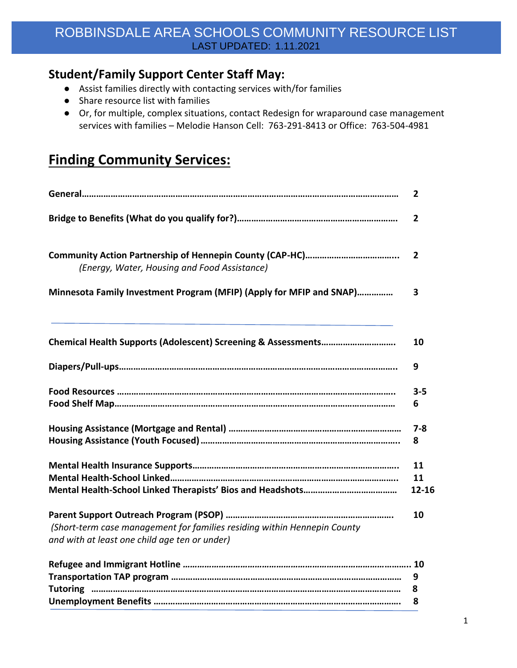### **Student/Family Support Center Staff May:**

- Assist families directly with contacting services with/for families
- Share resource list with families
- Or, for multiple, complex situations, contact Redesign for wraparound case management services with families – Melodie Hanson Cell: 763-291-8413 or Office: 763-504-4981

# **Finding Community Services:**

|                                                                                                                           | $\mathbf{2}$      |
|---------------------------------------------------------------------------------------------------------------------------|-------------------|
|                                                                                                                           | $\overline{2}$    |
| (Energy, Water, Housing and Food Assistance)                                                                              | $\overline{2}$    |
| Minnesota Family Investment Program (MFIP) (Apply for MFIP and SNAP)                                                      | 3                 |
|                                                                                                                           | 10                |
|                                                                                                                           | 9                 |
|                                                                                                                           | $3 - 5$<br>6      |
|                                                                                                                           | $7 - 8$<br>8      |
|                                                                                                                           | 11<br>11<br>12-16 |
| (Short-term case management for families residing within Hennepin County<br>and with at least one child age ten or under) | 10                |
|                                                                                                                           | 9<br>8<br>8       |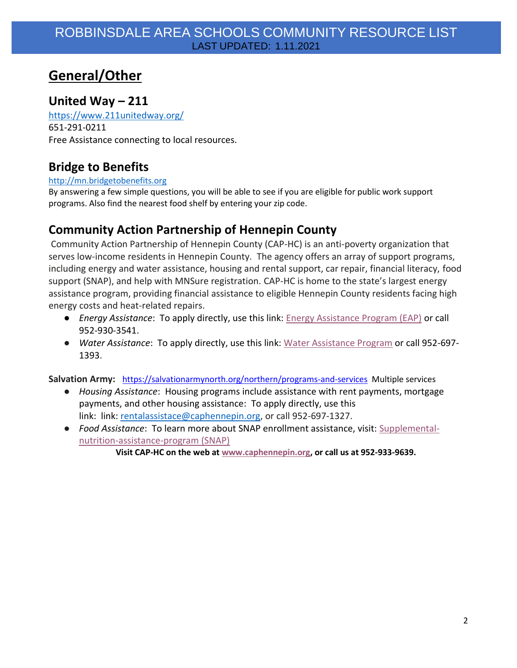# **General/Other**

### **United Way – 211**

<https://www.211unitedway.org/> 651-291-0211 Free Assistance connecting to local resources.

### **Bridge to Benefits**

#### [http://mn.bridgetobenefits.org](http://mn.bridgetobenefits.org/)

By answering a few simple questions, you will be able to see if you are eligible for public work support programs. Also find the nearest food shelf by entering your zip code.

### **Community Action Partnership of Hennepin County**

Community Action Partnership of Hennepin County (CAP-HC) is an anti-poverty organization that serves low-income residents in Hennepin County. The agency offers an array of support programs, including energy and water assistance, housing and rental support, car repair, financial literacy, food support (SNAP), and help with MNSure registration. CAP-HC is home to the state's largest energy assistance program, providing financial assistance to eligible Hennepin County residents facing high energy costs and heat-related repairs.

- *Energy Assistance*: To apply directly, use this link: [Energy Assistance Program \(EAP\)](http://www.caphennepin.org/services/energy-assistance) or call 952-930-3541.
- *Water Assistance*: To apply directly, use this link: [Water Assistance Program](http://www.caphennepin.org/services/water-assistance) or call 952-697- 1393.

**Salvation Army:** <https://salvationarmynorth.org/northern/programs-and-services>Multiple services

- *Housing Assistance*: Housing programs include assistance with rent payments, mortgage payments, and other housing assistance: To apply directly, use this link: link: [rentalassistace@caphennepin.org,](mailto:rentalassistace@caphennepin.org) or call 952-697-1327.
- *Food Assistance*: To learn more about SNAP enrollment assistance, visit: [Supplemental](https://www.caphennepin.org/services/food-support/supplemental-nutrition-assistance-program-snap-food-support/)[nutrition-assistance-program \(SNAP\)](https://www.caphennepin.org/services/food-support/supplemental-nutrition-assistance-program-snap-food-support/)

**Visit CAP-HC on the web at [www.caphennepin.org,](http://www.caphennepin.org/) or call us at 952-933-9639.**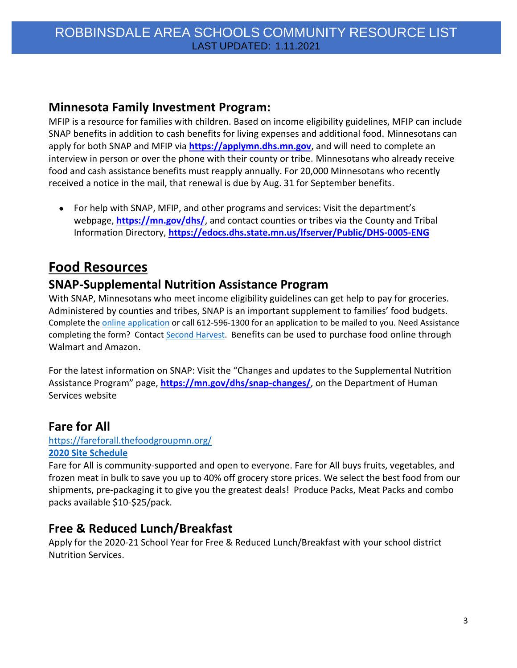### **Minnesota Family Investment Program:**

MFIP is a resource for families with children. Based on income eligibility guidelines, MFIP can include SNAP benefits in addition to cash benefits for living expenses and additional food. Minnesotans can apply for both SNAP and MFIP via **[https://applymn.dhs.mn.gov](http://r20.rs6.net/tn.jsp?f=0010dfGdFjfGkzdziKJ-Fb-c8Wlnn0om6AY5e2KafLMqORfFe6yo0wvnBEu_MIflMQeKz2s7ZpPhsgMFrk8oUSa9v0Cb2uQjnv5uVSOW6so7PfeXFewVZEjNfCInJV5MHkhZRKrJXoSUaqjMn1m3uvedPZDwHzCH7yZWkFx12C_X7E-6r0V-yLMDb0RK_l-VTM5wifslxGkItGb7qJ8OkHAdEJadriz_jpyb6HAVAM3_GrKsJk_appibPpCych0SEJA9_iOIivGIV14-zBv3ygALv0hOdmr_xnwlG3mJB9wsAOCWS5dFxzXjUBVSZR764pjaaevcdffDzbMPfukzojXlIY-st5vKZksZjjXChGMATMUdZEpH-nTj2slb2EVUzjVlhyemhcRUSA88KnVDIZcB8ceMeaUtjlcyv3Yb5GjX1GXfHolwytUCYG2G9X_k6eYUBs6svY-2zSroEluO9SGmA==&c=T6kJaZm5WtYFpsSh2b18mY_wmqTacMMur0M4fXpDN_gDcEtVocfAnA==&ch=zwW_LgXc6nZ2-JRebR2--4h2sHtTWI1_CWhfhmtWIH53Xo9lP8JLxQ==)**, and will need to complete an interview in person or over the phone with their county or tribe. Minnesotans who already receive food and cash assistance benefits must reapply annually. For 20,000 Minnesotans who recently received a notice in the mail, that renewal is due by Aug. 31 for September benefits.

● For help with SNAP, MFIP, and other programs and services: Visit the department's webpage, **[https://mn.gov/dhs/](http://r20.rs6.net/tn.jsp?f=0010dfGdFjfGkzdziKJ-Fb-c8Wlnn0om6AY5e2KafLMqORfFe6yo0wvnBEu_MIflMQe8oQwbKDyP4mg0U9eFDQwqCRnyp62s1_PXiJSxqct5jy3OYmkGvTbSVunH2JNNTk9Sh2tpUjrFvnfXxN5w19syzi04BQVbrPZgnrLDWpAZToeDzSEPUx1sxYpKDfRiXZlelKbJLGp-ZXrSZKMZPv6ziGWWw6LuV0B0BFwn4SLo-MVVW6ULJiO_V3wgVaMsUIvisR6UMSB1Jauoz_FTGvU_bsaHTeKp-TRekG3du8QXTSw1x5m2fU-YFdBiSeZOb2DII4Io6eaBFv54agzPv2QQnu5SuKOFIhSlhjysMNe7UpNgiLSFFIE-3TYvO39UVQCxSJ5s6REUONfJtAPjeTtjaPVyXokTUsWO0VfDd6p336ZS38KuQXkVqDs5RvFm-goUsLvDOG2C4Y=&c=T6kJaZm5WtYFpsSh2b18mY_wmqTacMMur0M4fXpDN_gDcEtVocfAnA==&ch=zwW_LgXc6nZ2-JRebR2--4h2sHtTWI1_CWhfhmtWIH53Xo9lP8JLxQ==)**, and contact counties or tribes via the County and Tribal Information Directory, **[https://edocs.dhs.state.mn.us/lfserver/Public/DHS-0005-ENG](http://r20.rs6.net/tn.jsp?f=0010dfGdFjfGkzdziKJ-Fb-c8Wlnn0om6AY5e2KafLMqORfFe6yo0wvnBEu_MIflMQewy11xnPDZgiYD2IEeeeul2YW_cPAKWTR-p7-WRVGsKxbII-CA6Pf1muBsNQrtJmp1VsBLfbrnzweKPC7Dhtk97E1qNWXd7VH7v0CEhgNkho6besflUP3yjh0ySUUEglpvIKkgBADN18PTABjqKV5Bs95MuhH6Bsrz5mp2WVbA95TKeW8Ado6bFlxayqP0xAOW0__IhB1jSnpCphhtdd8MOTHJSGD_jTlmZXT2nh9TWjitIUjHt_sdvSVXm-1Z16gy-o_cFx03ixQRTKitaTRKMZTJFF7-hIko8Fh4EJMUXeIeov1DqfOGsUDvp9fGlSVuuMdI5Si2hOKosYGPb1-XA4d_60GpvOizrHb2turDDZ6yOZ822JAhqirjm4ZK4HEReEd06RhEtC4gfMAkumHSVrUnajOASkyEIejqXfSll4oCSy29NDvHMzdD0XTZ3P4pVHrF9SverhR590tQ3Njug==&c=T6kJaZm5WtYFpsSh2b18mY_wmqTacMMur0M4fXpDN_gDcEtVocfAnA==&ch=zwW_LgXc6nZ2-JRebR2--4h2sHtTWI1_CWhfhmtWIH53Xo9lP8JLxQ==)**

# **Food Resources**

### **SNAP-Supplemental Nutrition Assistance Program**

With SNAP, Minnesotans who meet income eligibility guidelines can get help to pay for groceries. Administered by counties and tribes, SNAP is an important supplement to families' food budgets. Complete the [online application](https://edocs.dhs.state.mn.us/lfserver/Public/DHS-5223-ENG) or call 612-596-1300 for an application to be mailed to you. Need Assistance completing the form? Contact [Second Harvest.](https://www.2harvest.org/who--how-we-help/services-and-programs/programs/snap-outreach.html) Benefits can be used to purchase food online through Walmart and Amazon.

For the latest information on SNAP: Visit the "Changes and updates to the Supplemental Nutrition Assistance Program" page, **[https://mn.gov/dhs/snap-changes/](http://r20.rs6.net/tn.jsp?f=0010dfGdFjfGkzdziKJ-Fb-c8Wlnn0om6AY5e2KafLMqORfFe6yo0wvnBEu_MIflMQePk3sFJwrY55RvdLK7e3VekD7pTOG0oa9yPONG_VhHbt5qCrYkvGLlJ_GXiJM84g4cUxLnroCEQBA_AlWPrX14mVbElsSxYfjdeaP-vZ_X8RFOycR02cb9w-gm8_hVy6tmX4ucDIiD1SbHDbl9SJ3tp5hBFqjCpxhDsmygM1GSqFcNezb2ZwmzgCpGx0VpV_p7NY6JMUK8l_R2w-ntj-0DtlOsRhw4Y3njOqZqATl7yDflrhKBdZdnyM35In5vUQMLZrFspCt06OZ_PkaSJDsvO6I8uMz0B-Y24wH6ZTxJkGMNtVflDvEJN3o-FIuiWzRicm7doCOb3RaU-patjuMES4WWCT31zpqA4M8fzPIcVYYzb-tcHYo886dKUGjT5mj8NPGIXsscwBkuQ7W8BgATkEXvvI3iRlu&c=T6kJaZm5WtYFpsSh2b18mY_wmqTacMMur0M4fXpDN_gDcEtVocfAnA==&ch=zwW_LgXc6nZ2-JRebR2--4h2sHtTWI1_CWhfhmtWIH53Xo9lP8JLxQ==)**, on the Department of Human Services website

### **Fare for All**

#### <https://fareforall.thefoodgroupmn.org/> **[2020 Site Schedule](http://support.2harvest.org/site/DocServer/Binder1.pdf?_ga=2.93836376.451667879.1596133474-1336086474.1594908035)**

Fare for All is community-supported and open to everyone. Fare for All buys fruits, vegetables, and frozen meat in bulk to save you up to 40% off grocery store prices. We select the best food from our shipments, pre-packaging it to give you the greatest deals! Produce Packs, Meat Packs and combo packs available \$10-\$25/pack.

### **Free & Reduced Lunch/Breakfast**

Apply for the 2020-21 School Year for Free & Reduced Lunch/Breakfast with your school district Nutrition Services.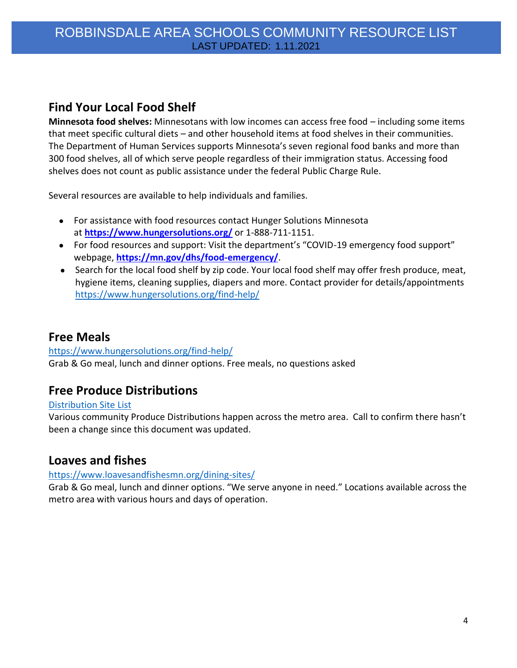### **Find Your Local Food Shelf**

**Minnesota food shelves:** Minnesotans with low incomes can access free food – including some items that meet specific cultural diets – and other household items at food shelves in their communities. The Department of Human Services supports Minnesota's seven regional food banks and more than 300 food shelves, all of which serve people regardless of their immigration status. Accessing food shelves does not count as public assistance under the federal Public Charge Rule.

Several resources are available to help individuals and families.

- For assistance with food resources contact Hunger Solutions Minnesota at **[https://www.hungersolutions.org/](http://r20.rs6.net/tn.jsp?f=0010dfGdFjfGkzdziKJ-Fb-c8Wlnn0om6AY5e2KafLMqORfFe6yo0wvnBEu_MIflMQeH6IMp1_pdan7_KQbqOIGOOZ0KfwYjvJH6nCpYCb6w0sjDOz_Gm2s9Qpm15imLUtV6QDs1a1QXPFq7Vx-Nb8ypOkpp96qIVMYpZ7Cy1Iy6Z2Mpx9O5URTVHkk2DUnetaAezNUSEL5y8CPWHBJuPmAaDmOuLRdelh6vOZvfpHKU6VWQkcN0X3xr51LVGwFvLH3ZkS9SGcegonG4ErMVBNksNatYP2pvvOgFY45_5reMSPixEmRuJbUj9GmtXQoBMPv_q4JkeSgmj2UFWBgb-o0nMSMGuX4fR5as1ljDhYJYkV9rA0m6P44eu485uGT-cPzoZHLyjzFkfwg6huQxe5gmbQdlTArvghLJFp8ThZh_L3dKeRXkReil1WfppkKhuejKvP8vNJhuCxfyTVDfpe7OOSNqwl1cVBX&c=T6kJaZm5WtYFpsSh2b18mY_wmqTacMMur0M4fXpDN_gDcEtVocfAnA==&ch=zwW_LgXc6nZ2-JRebR2--4h2sHtTWI1_CWhfhmtWIH53Xo9lP8JLxQ==)** or 1-888-711-1151.
- For food resources and support: Visit the department's "COVID-19 emergency food support" webpage, **[https://mn.gov/dhs/food-emergency/](http://r20.rs6.net/tn.jsp?f=0010dfGdFjfGkzdziKJ-Fb-c8Wlnn0om6AY5e2KafLMqORfFe6yo0wvnBEu_MIflMQen8LeXZyt9gUka5JCqVG4QHKYwqNo229gtH4yRoANv9G1nyfdKiJLPZYo9xg2mmos5--PPj-rQ7vvEyf89w0y6KP5JiNBLQ4A3AvPfHhKNIl7dI4c_AvsWLH7bEqUmQ4kTIpt3ocqfXXZaJd0y-Lf_wgbXGu6zPBlABDQc1N-3uLIUYNGyyrycLgk-AhZoB90qVy892ZmlZ3ZVGdgvRsW9CfbK_N9Et3OBN28DdTy3M6YH4_MiKKrov7lMp3i029PL_j6SzpRIZ1-LwThWcXMb4zwCd3vCuB8kaRvsyNvw9nXyXR4Znk8gyyoLoIzK5izl47cMDj5UJUIVSlhLHFNE2KvEQ6IF00fEONWbsNH8gz4jzsFBk22JGssRv6JeWUz0Npk6M4lqp6uLiXAEMhczmtkVjmGTbQfkSVDHdU99vQ=&c=T6kJaZm5WtYFpsSh2b18mY_wmqTacMMur0M4fXpDN_gDcEtVocfAnA==&ch=zwW_LgXc6nZ2-JRebR2--4h2sHtTWI1_CWhfhmtWIH53Xo9lP8JLxQ==)**.
- Search for the local food shelf by zip code. Your local food shelf may offer fresh produce, meat, hygiene items, cleaning supplies, diapers and more. Contact provider for details/appointments <https://www.hungersolutions.org/find-help/>

### **Free Meals**

#### <https://www.hungersolutions.org/find-help/>

Grab & Go meal, lunch and dinner options. Free meals, no questions asked

### **Free Produce Distributions**

#### [Distribution Site List](http://support.2harvest.org/site/DocServer/PD_List_Summer_2020_Rev.pdf?_ga=2.60676584.451667879.1596133474-1336086474.1594908035)

Various community Produce Distributions happen across the metro area. Call to confirm there hasn't been a change since this document was updated.

### **Loaves and fishes**

#### <https://www.loavesandfishesmn.org/dining-sites/>

Grab & Go meal, lunch and dinner options. "We serve anyone in need." Locations available across the metro area with various hours and days of operation.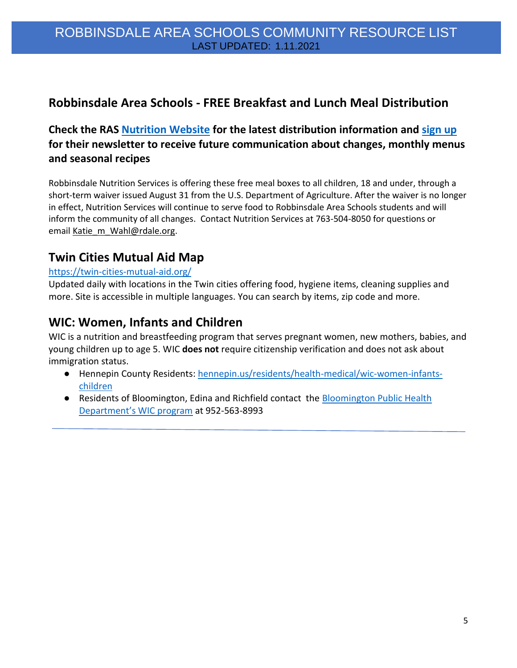### **Robbinsdale Area Schools - FREE Breakfast and Lunch Meal Distribution**

### **Check the RAS [Nutrition Website](https://www.rdale.org/discover/nutrition-services) for the latest distribution information and [sign up](https://docs.google.com/forms/d/e/1FAIpQLSf30UPFQXgMkMei-tRnMMbqla7ZCDZtELxikVbM12YEoiHcFA/viewform) for their newsletter to receive future communication about changes, monthly menus and seasonal recipes**

Robbinsdale Nutrition Services is offering these free meal boxes to all children, 18 and under, through a short-term waiver issued August 31 from the U.S. Department of Agriculture. After the waiver is no longer in effect, Nutrition Services will continue to serve food to Robbinsdale Area Schools students and will inform the community of all changes. Contact Nutrition Services at 763-504-8050 for questions or email [Katie\\_m\\_Wahl@rdale.org.](https://mail.google.com/mail/?view=cm&fs=1&tf=1&to=Katie_m_Wahl@rdale.org)

### **Twin Cities Mutual Aid Map**

#### [https://twin-cities-mutual-aid.org/](https://twin-cities-mutual-aid.org/?fbclid=IwAR2yqv7C3BSoKnREhn4zSLEwxf-BGMth6dBZH6p7cWzhFAqbwX_O6EGj7dk)

Updated daily with locations in the Twin cities offering food, hygiene items, cleaning supplies and more. Site is accessible in multiple languages. You can search by items, zip code and more.

### **WIC: Women, Infants and Children**

WIC is a nutrition and breastfeeding program that serves pregnant women, new mothers, babies, and young children up to age 5. WIC **does not** require citizenship verification and does not ask about immigration status.

- Hennepin County Residents: [hennepin.us/residents/health-medical/wic-women-infants](https://www.hennepin.us/residents/health-medical/wic-women-infants-children)[children](https://www.hennepin.us/residents/health-medical/wic-women-infants-children)
- Residents of Bloomington, Edina and Richfield contact the **Bloomington Public Health** [Department's WIC program](https://www.bloomingtonmn.gov/ph/wic) at 952-563-8993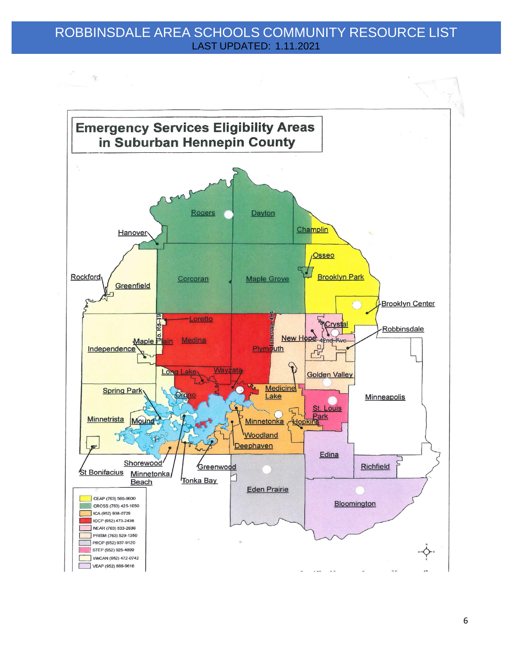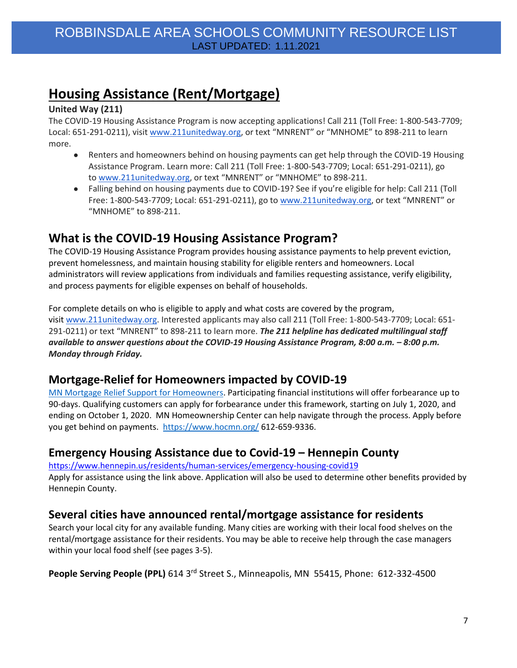# **Housing Assistance (Rent/Mortgage)**

#### **United Way (211)**

The COVID-19 Housing Assistance Program is now accepting applications! Call 211 (Toll Free: 1-800-543-7709; Local: 651-291-0211), visit [www.211unitedway.org](https://gcc01.safelinks.protection.outlook.com/?url=http%3A%2F%2Fwww.211unitedway.org%2F&data=02%7C01%7Cann.boerth%40state.mn.us%7C3c805f35cf0548fafb0308d84839f7ee%7Ceb14b04624c445198f26b89c2159828c%7C0%7C0%7C637338761710909066&sdata=CcoZ5jfI0WVw4BBz5Pv4JVdnyAGwYxJh%2FyJPRvhGXiI%3D&reserved=0), or text "MNRENT" or "MNHOME" to 898-211 to learn more.

- Renters and homeowners behind on housing payments can get help through the COVID-19 Housing Assistance Program. Learn more: Call 211 (Toll Free: 1-800-543-7709; Local: 651-291-0211), go to [www.211unitedway.org](https://gcc01.safelinks.protection.outlook.com/?url=http%3A%2F%2Fwww.211unitedway.org%2F&data=02%7C01%7Cann.boerth%40state.mn.us%7C3c805f35cf0548fafb0308d84839f7ee%7Ceb14b04624c445198f26b89c2159828c%7C0%7C0%7C637338761710928979&sdata=pqco5V8G1qJEUtzxxXahj%2FM6n0RBWOPNZz2zDpVzgQU%3D&reserved=0), or text "MNRENT" or "MNHOME" to 898-211.
- Falling behind on housing payments due to COVID-19? See if you're eligible for help: Call 211 (Toll Free: 1-800-543-7709; Local: 651-291-0211), go to [www.211unitedway.org](https://gcc01.safelinks.protection.outlook.com/?url=http%3A%2F%2Fwww.211unitedway.org%2F&data=02%7C01%7Cann.boerth%40state.mn.us%7C3c805f35cf0548fafb0308d84839f7ee%7Ceb14b04624c445198f26b89c2159828c%7C0%7C0%7C637338761710928979&sdata=pqco5V8G1qJEUtzxxXahj%2FM6n0RBWOPNZz2zDpVzgQU%3D&reserved=0), or text "MNRENT" or "MNHOME" to 898-211.

### **What is the COVID-19 Housing Assistance Program?**

The COVID-19 Housing Assistance Program provides housing assistance payments to help prevent eviction, prevent homelessness, and maintain housing stability for eligible renters and homeowners. Local administrators will review applications from individuals and families requesting assistance, verify eligibility, and process payments for eligible expenses on behalf of households.

For complete details on who is eligible to apply and what costs are covered by the program, visit [www.211unitedway.org.](https://gcc01.safelinks.protection.outlook.com/?url=http%3A%2F%2Fwww.211unitedway.org%2F&data=02%7C01%7Cann.boerth%40state.mn.us%7C3c805f35cf0548fafb0308d84839f7ee%7Ceb14b04624c445198f26b89c2159828c%7C0%7C0%7C637338761710928979&sdata=pqco5V8G1qJEUtzxxXahj%2FM6n0RBWOPNZz2zDpVzgQU%3D&reserved=0) Interested applicants may also call 211 (Toll Free: 1-800-543-7709; Local: 651- 291-0211) or text "MNRENT" to 898-211 to learn more. *The 211 helpline has dedicated multilingual staff available to answer questions about the COVID-19 Housing Assistance Program, 8:00 a.m. - 8:00 p.m. Monday through Friday.*

### **Mortgage-Relief for Homeowners impacted by COVID-19**

[MN Mortgage Relief Support for Homeowners.](https://www.ag.state.mn.us/Office/Communications/2020/07/02_MortgageReliefOptions.asp#:~:text=Participating%20financial%20institutions%20will%20offer,begin%20applying%20for%20forbearance%20immediately.) Participating financial institutions will offer forbearance up to 90-days. Qualifying customers can apply for forbearance under this framework, starting on July 1, 2020, and ending on October 1, 2020. MN Homeownership Center can help navigate through the process. Apply before you get behind on payments. <https://www.hocmn.org/> 612-659-9336.

### **Emergency Housing Assistance due to Covid-19 – Hennepin County**

<https://www.hennepin.us/residents/human-services/emergency-housing-covid19>

Apply for assistance using the link above. Application will also be used to determine other benefits provided by Hennepin County.

### **Several cities have announced rental/mortgage assistance for residents**

Search your local city for any available funding. Many cities are working with their local food shelves on the rental/mortgage assistance for their residents. You may be able to receive help through the case managers within your local food shelf (see pages 3-5).

People Serving People (PPL) 614 3<sup>rd</sup> Street S., Minneapolis, MN 55415, Phone: 612-332-4500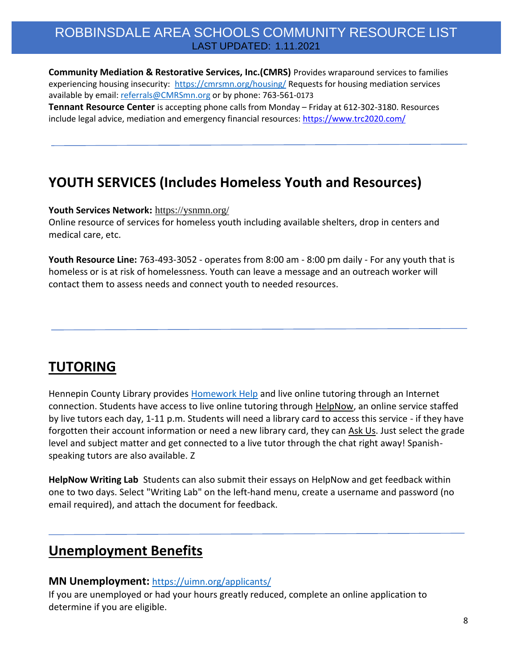**Community Mediation & Restorative Services, Inc.(CMRS)** Provides wraparound services to families experiencing housing insecurity: <https://cmrsmn.org/housing/> Requests for housing mediation services available by email: [referrals@CMRSmn.org](mailto:referrals@CMRSmn.org) or by phone: 763-561-0173 **Tennant Resource Center** is accepting phone calls from Monday – Friday at 612-302-3180. Resources include legal advice, mediation and emergency financial resources[: https://www.trc2020.com/](https://www.trc2020.com/)

# **YOUTH SERVICES (Includes Homeless Youth and Resources)**

**Youth Services Network:** <https://ysnmn.org/>

Online resource of services for homeless youth including available shelters, drop in centers and medical care, etc.

**Youth Resource Line:** 763-493-3052 - operates from 8:00 am - 8:00 pm daily - For any youth that is homeless or is at risk of homelessness. Youth can leave a message and an outreach worker will contact them to assess needs and connect youth to needed resources.

# **TUTORING**

Hennepin County Library provides [Homework Help](https://www.hclib.org/programs/homework-help#tutors-online) and live online tutoring through an Internet connection. Students have access to live online tutoring through [HelpNow,](https://nam02.safelinks.protection.outlook.com/?url=https%3A%2F%2Flnks.gd%2Fl%2FeyJhbGciOiJIUzI1NiJ9.eyJidWxsZXRpbl9saW5rX2lkIjoxMTAsInVyaSI6ImJwMjpjbGljayIsImJ1bGxldGluX2lkIjoiMjAyMDA5MTcuMjcyOTA2NjEiLCJ1cmwiOiJodHRwczovL3d3dy5oY2xpYi5vcmcvcHJvZ3JhbXMvaG9tZXdvcmstaGVscCN0dXRvcnMtb25saW5lIn0.TxavmTZa5aG0ircv_-s8Ci0fRnCE8r8QcdiE4kgW4sg%2Fs%2F899418097%2Fbr%2F85099864798-l&data=02%7C01%7Clisa.roney%40hennepintech.edu%7C75a21addd9694595217508d85b26128e%7C5011c7c60ab446ab9ef4fae74a921a7f%7C0%7C0%7C637359566363852769&sdata=J2BnwsYnZeBcr2gSkhYDx6h0cBYdwmGt8JYDF%2FsZxDQ%3D&reserved=0) an online service staffed by live tutors each day, 1-11 p.m. Students will need a library card to access this service - if they have forgotten their account information or need a new library card, they can [Ask Us.](https://nam02.safelinks.protection.outlook.com/?url=https%3A%2F%2Flnks.gd%2Fl%2FeyJhbGciOiJIUzI1NiJ9.eyJidWxsZXRpbl9saW5rX2lkIjoxMTEsInVyaSI6ImJwMjpjbGljayIsImJ1bGxldGluX2lkIjoiMjAyMDA5MTcuMjcyOTA2NjEiLCJ1cmwiOiJodHRwczovL3d3dy5oY2xpYi5vcmcvY29udGFjdCJ9.-oii-oOwqHh-WJ5y9Hxz1FHFKlq_xa75Im-8uiQAFC0%2Fs%2F899418097%2Fbr%2F85099864798-l&data=02%7C01%7Clisa.roney%40hennepintech.edu%7C75a21addd9694595217508d85b26128e%7C5011c7c60ab446ab9ef4fae74a921a7f%7C0%7C0%7C637359566363852769&sdata=UIkz2%2FSk3wU%2FkejdmJYzxaM5Ggb0I34vun2Jas3sjYY%3D&reserved=0) Just select the grade level and subject matter and get connected to a live tutor through the chat right away! Spanishspeaking tutors are also available. Z

**HelpNow Writing Lab** Students can also submit their essays on HelpNow and get feedback within one to two days. Select "Writing Lab" on the left-hand menu, create a username and password (no email required), and attach the document for feedback.

# **Unemployment Benefits**

#### **MN Unemployment:** <https://uimn.org/applicants/>

If you are unemployed or had your hours greatly reduced, complete an online application to determine if you are eligible.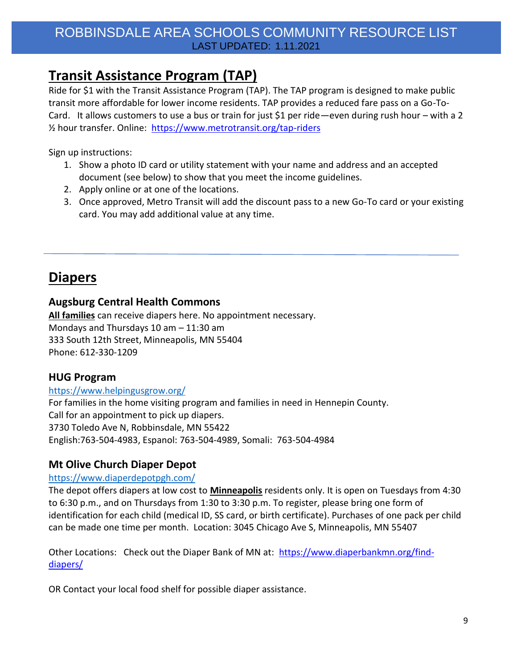# **Transit Assistance Program (TAP)**

Ride for \$1 with the Transit Assistance Program (TAP). The TAP program is designed to make public transit more affordable for lower income residents. TAP provides a reduced fare pass on a Go-To-Card. It allows customers to use a bus or train for just \$1 per ride—even during rush hour – with a 2 ½ hour transfer. Online: <https://www.metrotransit.org/tap-riders>

Sign up instructions:

- 1. Show a photo ID card or utility statement with your name and address and an accepted document (see below) to show that you meet the income guidelines.
- 2. Apply online or at one of the locations.
- 3. Once approved, Metro Transit will add the discount pass to a new Go-To card or your existing card. You may add additional value at any time.

# **Diapers**

#### **Augsburg Central Health Commons**

**All families** can receive diapers here. No appointment necessary. Mondays and Thursdays 10 am – 11:30 am 333 South 12th Street, Minneapolis, MN 55404 Phone: 612-330-1209

### **HUG Program**

#### <https://www.helpingusgrow.org/>

For families in the home visiting program and families in need in Hennepin County. Call for an appointment to pick up diapers. 3730 Toledo Ave N, Robbinsdale, MN 55422 English:763-504-4983, Espanol: 763-504-4989, Somali: 763-504-4984

### **Mt Olive Church Diaper Depot**

#### <https://www.diaperdepotpgh.com/>

The depot offers diapers at low cost to **Minneapolis** residents only. It is open on Tuesdays from 4:30 to 6:30 p.m., and on Thursdays from 1:30 to 3:30 p.m. To register, please bring one form of identification for each child (medical ID, SS card, or birth certificate). Purchases of one pack per child can be made one time per month. Location: 3045 Chicago Ave S, Minneapolis, MN 55407

Other Locations: Check out the Diaper Bank of MN at: [https://www.diaperbankmn.org/find](https://www.diaperbankmn.org/find-diapers/)[diapers/](https://www.diaperbankmn.org/find-diapers/)

OR Contact your local food shelf for possible diaper assistance.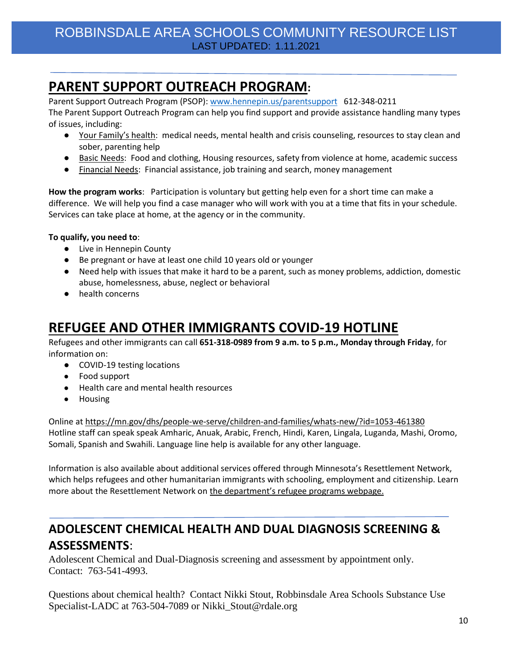# **PARENT SUPPORT OUTREACH PROGRAM:**

Parent Support Outreach Program (PSOP): [www.hennepin.us/parentsupport](http://www.hennepin.us/parentsupport) 612-348-0211 The Parent Support Outreach Program can help you find support and provide assistance handling many types of issues, including:

- Your Family's health: medical needs, mental health and crisis counseling, resources to stay clean and sober, parenting help
- Basic Needs: Food and clothing, Housing resources, safety from violence at home, academic success
- Financial Needs: Financial assistance, job training and search, money management

**How the program works**: Participation is voluntary but getting help even for a short time can make a difference. We will help you find a case manager who will work with you at a time that fits in your schedule. Services can take place at home, at the agency or in the community.

#### **To qualify, you need to**:

- Live in Hennepin County
- Be pregnant or have at least one child 10 years old or younger
- Need help with issues that make it hard to be a parent, such as money problems, addiction, domestic abuse, homelessness, abuse, neglect or behavioral
- health concerns

# **REFUGEE AND OTHER IMMIGRANTS COVID-19 HOTLINE**

Refugees and other immigrants can call **651-318-0989 from 9 a.m. to 5 p.m., Monday through Friday**, for information on:

- COVID-19 testing locations
- Food support
- Health care and mental health resources
- Housing

Online at<https://mn.gov/dhs/people-we-serve/children-and-families/whats-new/?id=1053-461380> Hotline staff can speak speak Amharic, Anuak, Arabic, French, Hindi, Karen, Lingala, Luganda, Mashi, Oromo, Somali, Spanish and Swahili. Language line help is available for any other language.

Information is also available about additional services offered through Minnesota's Resettlement Network, which helps refugees and other humanitarian immigrants with schooling, employment and citizenship. Learn more about the Resettlement Network on [the department's refugee programs webpage.](https://mn.gov/dhs/people-we-serve/seniors/services/refugee-assistance/)

## **ADOLESCENT CHEMICAL HEALTH AND DUAL DIAGNOSIS SCREENING & ASSESSMENTS**:

Adolescent Chemical and Dual-Diagnosis screening and assessment by appointment only. Contact: 763-541-4993.

Questions about chemical health? Contact Nikki Stout, Robbinsdale Area Schools Substance Use Specialist-LADC at 763-504-7089 or Nikki\_Stout@rdale.org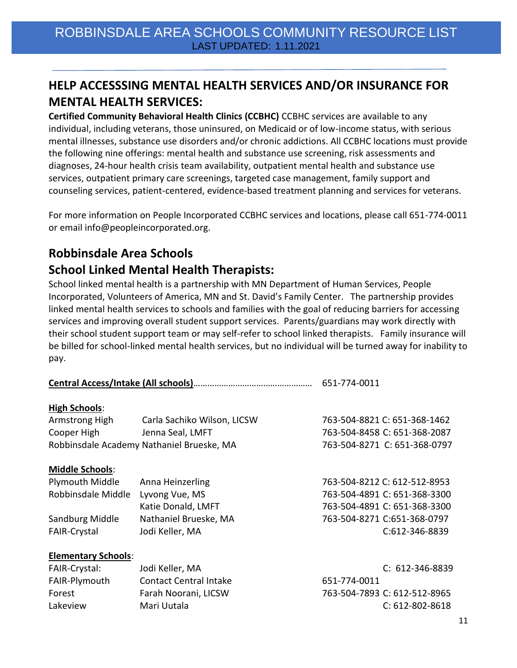# **HELP ACCESSSING MENTAL HEALTH SERVICES AND/OR INSURANCE FOR MENTAL HEALTH SERVICES:**

**Certified Community Behavioral Health Clinics (CCBHC)** CCBHC services are available to any individual, including veterans, those uninsured, on Medicaid or of low-income status, with serious mental illnesses, substance use disorders and/or chronic addictions. All CCBHC locations must provide the following nine offerings: mental health and substance use screening, risk assessments and diagnoses, 24-hour health crisis team availability, outpatient mental health and substance use services, outpatient primary care screenings, targeted case management, family support and counseling services, patient-centered, evidence-based treatment planning and services for veterans.

For more information on People Incorporated CCBHC services and locations, please call 651-774-0011 or email info@peopleincorporated.org.

### **Robbinsdale Area Schools**

### **School Linked Mental Health Therapists:**

School linked mental health is a partnership with MN Department of Human Services, People Incorporated, Volunteers of America, MN and St. David's Family Center. The partnership provides linked mental health services to schools and families with the goal of reducing barriers for accessing services and improving overall student support services. Parents/guardians may work directly with their school student support team or may self-refer to school linked therapists. Family insurance will be billed for school-linked mental health services, but no individual will be turned away for inability to pay.

|                            |                                           | 651-774-0011                 |  |
|----------------------------|-------------------------------------------|------------------------------|--|
| <b>High Schools:</b>       |                                           |                              |  |
| Armstrong High             | Carla Sachiko Wilson, LICSW               | 763-504-8821 C: 651-368-1462 |  |
| Cooper High                | Jenna Seal, LMFT                          | 763-504-8458 C: 651-368-2087 |  |
|                            | Robbinsdale Academy Nathaniel Brueske, MA | 763-504-8271 C: 651-368-0797 |  |
| <b>Middle Schools:</b>     |                                           |                              |  |
| Plymouth Middle            | Anna Heinzerling                          | 763-504-8212 C: 612-512-8953 |  |
| Robbinsdale Middle         | Lyvong Vue, MS                            | 763-504-4891 C: 651-368-3300 |  |
|                            | Katie Donald, LMFT                        | 763-504-4891 C: 651-368-3300 |  |
| Sandburg Middle            | Nathaniel Brueske, MA                     | 763-504-8271 C:651-368-0797  |  |
| <b>FAIR-Crystal</b>        | Jodi Keller, MA                           | C:612-346-8839               |  |
| <b>Elementary Schools:</b> |                                           |                              |  |
| FAIR-Crystal:              | Jodi Keller, MA                           | $C: 612 - 346 - 8839$        |  |
| FAIR-Plymouth              | <b>Contact Central Intake</b>             | 651-774-0011                 |  |
| Forest                     | Farah Noorani, LICSW                      | 763-504-7893 C: 612-512-8965 |  |
| Lakeview                   | Mari Uutala                               | $C: 612 - 802 - 8618$        |  |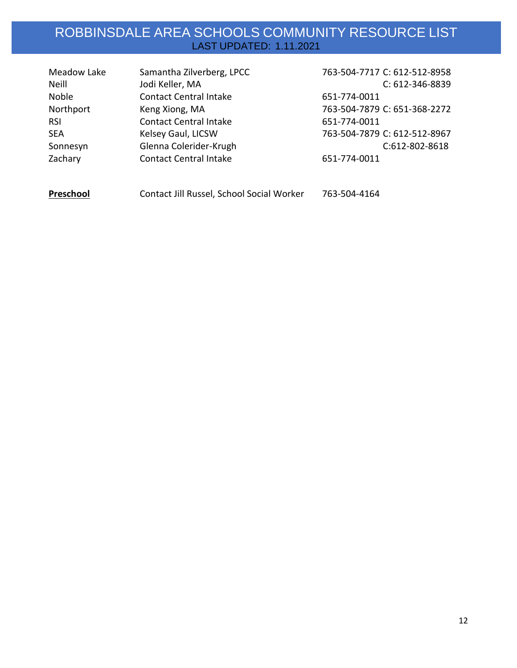| Meadow Lake | Samantha Zilverberg, LPCC                 | 763-504-7717 C: 612-512-8958 |
|-------------|-------------------------------------------|------------------------------|
| Neill       | Jodi Keller, MA                           | C: 612-346-8839              |
| Noble       | <b>Contact Central Intake</b>             | 651-774-0011                 |
| Northport   | Keng Xiong, MA                            | 763-504-7879 C: 651-368-2272 |
| <b>RSI</b>  | <b>Contact Central Intake</b>             | 651-774-0011                 |
| <b>SEA</b>  | Kelsey Gaul, LICSW                        | 763-504-7879 C: 612-512-8967 |
| Sonnesyn    | Glenna Colerider-Krugh                    | C:612-802-8618               |
| Zachary     | <b>Contact Central Intake</b>             | 651-774-0011                 |
|             |                                           |                              |
| Preschool   | Contact Jill Russel, School Social Worker | 763-504-4164                 |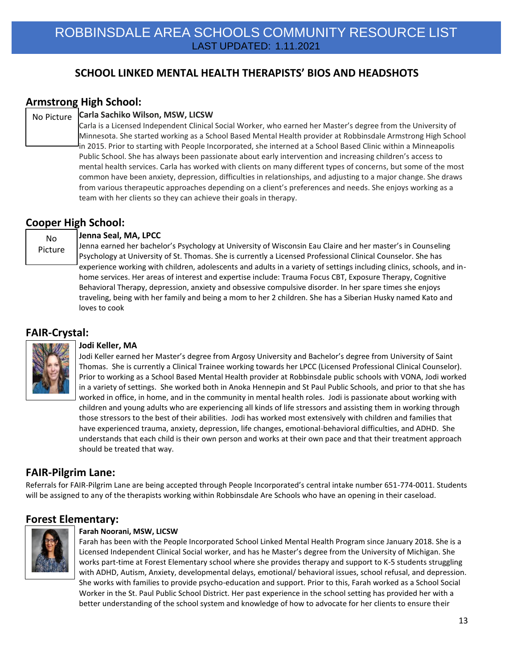### **SCHOOL LINKED MENTAL HEALTH THERAPISTS' BIOS AND HEADSHOTS**

### **Armstrong High School:**

#### **Carla Sachiko Wilson, MSW, LICSW** No Picture

Carla is a Licensed Independent Clinical Social Worker, who earned her Master's degree from the University of Minnesota. She started working as a School Based Mental Health provider at Robbinsdale Armstrong High School in 2015. Prior to starting with People Incorporated, she interned at a School Based Clinic within a Minneapolis Public School. She has always been passionate about early intervention and increasing children's access to mental health services. Carla has worked with clients on many different types of concerns, but some of the most common have been anxiety, depression, difficulties in relationships, and adjusting to a major change. She draws from various therapeutic approaches depending on a client's preferences and needs. She enjoys working as a team with her clients so they can achieve their goals in therapy.

#### **Cooper High School:**

No Picture

#### **Jenna Seal, MA, LPCC**

Jenna earned her bachelor's Psychology at University of Wisconsin Eau Claire and her master's in Counseling Psychology at University of St. Thomas. She is currently a Licensed Professional Clinical Counselor. She has experience working with children, adolescents and adults in a variety of settings including clinics, schools, and inhome services. Her areas of interest and expertise include: Trauma Focus CBT, Exposure Therapy, Cognitive Behavioral Therapy, depression, anxiety and obsessive compulsive disorder. In her spare times she enjoys traveling, being with her family and being a mom to her 2 children. She has a Siberian Husky named Kato and loves to cook

#### **FAIR-Crystal:**



#### **Jodi Keller, MA**

Jodi Keller earned her Master's degree from Argosy University and Bachelor's degree from University of Saint Thomas. She is currently a Clinical Trainee working towards her LPCC (Licensed Professional Clinical Counselor). Prior to working as a School Based Mental Health provider at Robbinsdale public schools with VONA, Jodi worked in a variety of settings. She worked both in Anoka Hennepin and St Paul Public Schools, and prior to that she has worked in office, in home, and in the community in mental health roles. Jodi is passionate about working with children and young adults who are experiencing all kinds of life stressors and assisting them in working through those stressors to the best of their abilities. Jodi has worked most extensively with children and families that have experienced trauma, anxiety, depression, life changes, emotional-behavioral difficulties, and ADHD. She understands that each child is their own person and works at their own pace and that their treatment approach should be treated that way.

#### **FAIR-Pilgrim Lane:**

Referrals for FAIR-Pilgrim Lane are being accepted through People Incorporated's central intake number 651-774-0011. Students will be assigned to any of the therapists working within Robbinsdale Are Schools who have an opening in their caseload.

#### **Forest Elementary:**



#### **Farah Noorani, MSW, LICSW**

Farah has been with the People Incorporated School Linked Mental Health Program since January 2018. She is a Licensed Independent Clinical Social worker, and has he Master's degree from the University of Michigan. She works part-time at Forest Elementary school where she provides therapy and support to K-5 students struggling with ADHD, Autism, Anxiety, developmental delays, emotional/ behavioral issues, school refusal, and depression. She works with families to provide psycho-education and support. Prior to this, Farah worked as a School Social Worker in the St. Paul Public School District. Her past experience in the school setting has provided her with a better understanding of the school system and knowledge of how to advocate for her clients to ensure their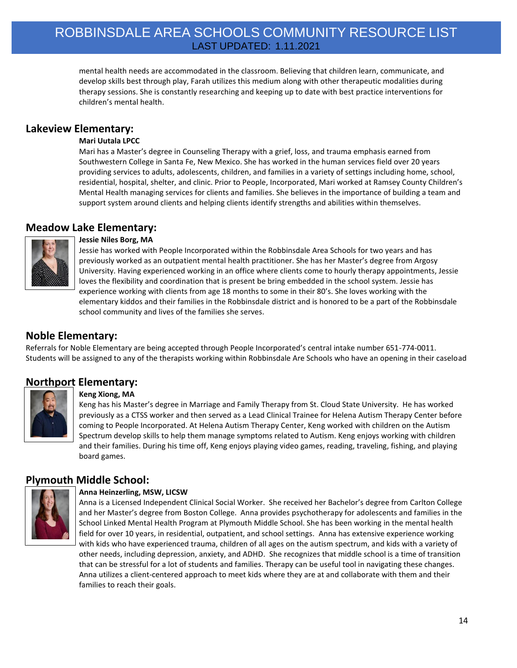mental health needs are accommodated in the classroom. Believing that children learn, communicate, and develop skills best through play, Farah utilizes this medium along with other therapeutic modalities during therapy sessions. She is constantly researching and keeping up to date with best practice interventions for children's mental health.

#### **Lakeview Elementary:**

#### **Mari Uutala LPCC**

Mari has a Master's degree in Counseling Therapy with a grief, loss, and trauma emphasis earned from Southwestern College in Santa Fe, New Mexico. She has worked in the human services field over 20 years providing services to adults, adolescents, children, and families in a variety of settings including home, school, residential, hospital, shelter, and clinic. Prior to People, Incorporated, Mari worked at Ramsey County Children's Mental Health managing services for clients and families. She believes in the importance of building a team and support system around clients and helping clients identify strengths and abilities within themselves.

#### **Meadow Lake Elementary:**



#### **Jessie Niles Borg, MA**

Jessie has worked with People Incorporated within the Robbinsdale Area Schools for two years and has previously worked as an outpatient mental health practitioner. She has her Master's degree from Argosy University. Having experienced working in an office where clients come to hourly therapy appointments, Jessie loves the flexibility and coordination that is present be bring embedded in the school system. Jessie has experience working with clients from age 18 months to some in their 80's. She loves working with the elementary kiddos and their families in the Robbinsdale district and is honored to be a part of the Robbinsdale school community and lives of the families she serves.

#### **Noble Elementary:**

Referrals for Noble Elementary are being accepted through People Incorporated's central intake number 651-774-0011. Students will be assigned to any of the therapists working within Robbinsdale Are Schools who have an opening in their caseload

### **Northport Elementary:**



#### **Keng Xiong, MA**

Keng has his Master's degree in Marriage and Family Therapy from St. Cloud State University. He has worked previously as a CTSS worker and then served as a Lead Clinical Trainee for Helena Autism Therapy Center before coming to People Incorporated. At Helena Autism Therapy Center, Keng worked with children on the Autism Spectrum develop skills to help them manage symptoms related to Autism. Keng enjoys working with children and their families. During his time off, Keng enjoys playing video games, reading, traveling, fishing, and playing board games.

#### **Plymouth Middle School:**



#### **Anna Heinzerling, MSW, LICSW**

Anna is a Licensed Independent Clinical Social Worker. She received her Bachelor's degree from Carlton College and her Master's degree from Boston College. Anna provides psychotherapy for adolescents and families in the School Linked Mental Health Program at Plymouth Middle School. She has been working in the mental health field for over 10 years, in residential, outpatient, and school settings. Anna has extensive experience working with kids who have experienced trauma, children of all ages on the autism spectrum, and kids with a variety of other needs, including depression, anxiety, and ADHD. She recognizes that middle school is a time of transition that can be stressful for a lot of students and families. Therapy can be useful tool in navigating these changes. Anna utilizes a client-centered approach to meet kids where they are at and collaborate with them and their families to reach their goals.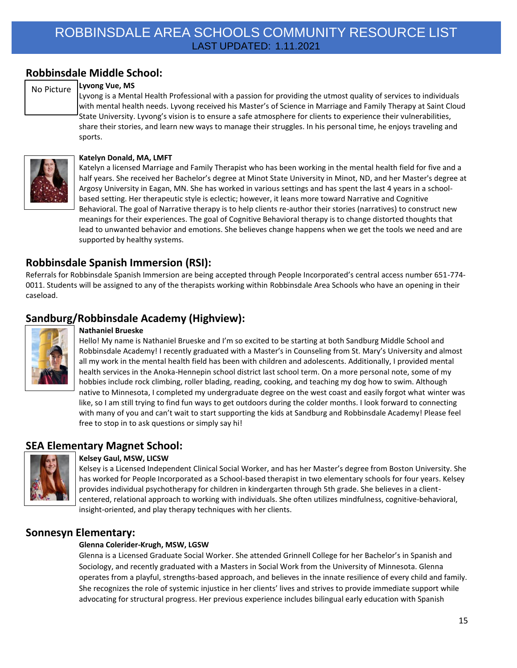### **Robbinsdale Middle School:**

#### **Lyvong Vue, MS** No Picture

Lyvong is a Mental Health Professional with a passion for providing the utmost quality of services to individuals with mental health needs. Lyvong received his Master's of Science in Marriage and Family Therapy at Saint Cloud State University. Lyvong's vision is to ensure a safe atmosphere for clients to experience their vulnerabilities, share their stories, and learn new ways to manage their struggles. In his personal time, he enjoys traveling and sports.



#### **Katelyn Donald, MA, LMFT**

Katelyn a licensed Marriage and Family Therapist who has been working in the mental health field for five and a half years. She received her Bachelor's degree at Minot State University in Minot, ND, and her Master's degree at Argosy University in Eagan, MN. She has worked in various settings and has spent the last 4 years in a schoolbased setting. Her therapeutic style is eclectic; however, it leans more toward Narrative and Cognitive Behavioral. The goal of Narrative therapy is to help clients re-author their stories (narratives) to construct new meanings for their experiences. The goal of Cognitive Behavioral therapy is to change distorted thoughts that lead to unwanted behavior and emotions. She believes change happens when we get the tools we need and are supported by healthy systems.

#### **Robbinsdale Spanish Immersion (RSI):**

Referrals for Robbinsdale Spanish Immersion are being accepted through People Incorporated's central access number 651-774- 0011. Students will be assigned to any of the therapists working within Robbinsdale Area Schools who have an opening in their caseload.

### **Sandburg/Robbinsdale Academy (Highview):**



#### **Nathaniel Brueske**

Hello! My name is Nathaniel Brueske and I'm so excited to be starting at both Sandburg Middle School and Robbinsdale Academy! I recently graduated with a Master's in Counseling from St. Mary's University and almost all my work in the mental health field has been with children and adolescents. Additionally, I provided mental health services in the Anoka-Hennepin school district last school term. On a more personal note, some of my hobbies include rock climbing, roller blading, reading, cooking, and teaching my dog how to swim. Although native to Minnesota, I completed my undergraduate degree on the west coast and easily forgot what winter was like, so I am still trying to find fun ways to get outdoors during the colder months. I look forward to connecting with many of you and can't wait to start supporting the kids at Sandburg and Robbinsdale Academy! Please feel free to stop in to ask questions or simply say hi!

#### **SEA Elementary Magnet School:**



#### **Kelsey Gaul, MSW, LICSW**

Kelsey is a Licensed Independent Clinical Social Worker, and has her Master's degree from Boston University. She has worked for People Incorporated as a School-based therapist in two elementary schools for four years. Kelsey provides individual psychotherapy for children in kindergarten through 5th grade. She believes in a clientcentered, relational approach to working with individuals. She often utilizes mindfulness, cognitive-behavioral, insight-oriented, and play therapy techniques with her clients.

#### **Sonnesyn Elementary:**

#### **Glenna Colerider-Krugh, MSW, LGSW**

Glenna is a Licensed Graduate Social Worker. She attended Grinnell College for her Bachelor's in Spanish and Sociology, and recently graduated with a Masters in Social Work from the University of Minnesota. Glenna operates from a playful, strengths-based approach, and believes in the innate resilience of every child and family. She recognizes the role of systemic injustice in her clients' lives and strives to provide immediate support while advocating for structural progress. Her previous experience includes bilingual early education with Spanish